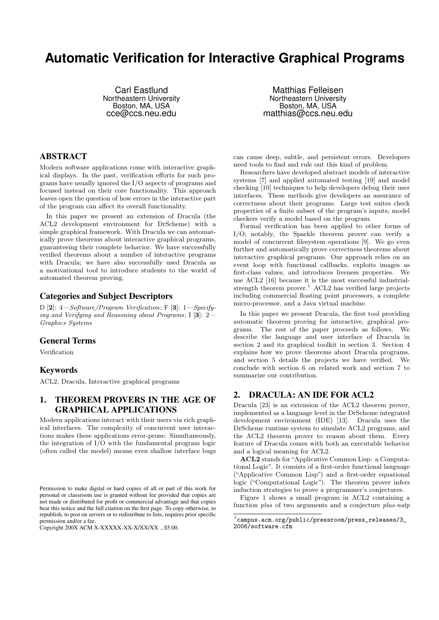# **Automatic Verification for Interactive Graphical Programs**

Carl Eastlund Northeastern University Boston, MA, USA cce@ccs.neu.edu

Matthias Felleisen Northeastern University Boston, MA, USA matthias@ccs.neu.edu

## ABSTRACT

Modern software applications come with interactive graphical displays. In the past, verification efforts for such programs have usually ignored the I/O aspects of programs and focused instead on their core functionality. This approach leaves open the question of how errors in the interactive part of the program can affect its overall functionality.

In this paper we present an extension of Dracula (the ACL2 development environment for DrScheme) with a simple graphical framework. With Dracula we can automatically prove theorems about interactive graphical programs, guaranteeing their complete behavior. We have successfully verified theorems about a number of interactive programs with Dracula; we have also successfully used Dracula as a motivational tool to introduce students to the world of automated theorem proving.

#### Categories and Subject Descriptors

D [2]: 4—Software/Program Verification; F [3]: 1—Specifying and Verifying and Reasoning about Programs; I [3]: 2— Graphics Systems

#### General Terms

Verification

#### Keywords

ACL2, Dracula, Interactive graphical programs

# 1. THEOREM PROVERS IN THE AGE OF GRAPHICAL APPLICATIONS

Modern applications interact with their users via rich graphical interfaces. The complexity of concurrent user interactions makes these applications error-prone. Simultaneously, the integration of I/O with the fundamental program logic (often called the model) means even shallow interface bugs

can cause deep, subtle, and persistent errors. Developers need tools to find and rule out this kind of problem.

Researchers have developed abstract models of interactive systems [7] and applied automated testing [19] and model checking [10] techniques to help developers debug their user interfaces. These methods give developers an assurance of correctness about their programs. Large test suites check properties of a finite subset of the program's inputs; model checkers verify a model based on the program.

Formal verification has been applied to other forms of I/O; notably, the Sparkle theorem prover can verify a model of concurrent filesystem operations [9]. We go even further and automatically prove correctness theorems about interactive graphical programs. Our approach relies on an event loop with functional callbacks, exploits images as first-class values, and introduces liveness properties. We use ACL2 [16] because it is the most successful industrialstrength theorem prover.<sup>1</sup> ACL2 has verified large projects including commercial floating point processors, a complete micro-processor, and a Java virtual machine.

In this paper we present Dracula, the first tool providing automatic theorem proving for interactive, graphical programs. The rest of the paper proceeds as follows. We describe the language and user interface of Dracula in section 2 and its graphical toolkit in section 3. Section 4 explains how we prove theorems about Dracula programs, and section 5 details the projects we have verified. We conclude with section 6 on related work and section 7 to summarize our contribution.

## 2. DRACULA: AN IDE FOR ACL2

Dracula [23] is an extension of the ACL2 theorem prover, implemented as a language level in the DrScheme integrated development environment (IDE) [13]. Dracula uses the DrScheme runtime system to simulate ACL2 programs, and the ACL2 theorem prover to reason about them. Every feature of Dracula comes with both an executable behavior and a logical meaning for ACL2.

ACL2 stands for "Applicative Common Lisp: a Computational Logic". It consists of a first-order functional language ("Applicative Common Lisp") and a first-order equational logic ("Computational Logic"). The theorem prover infers induction strategies to prove a programmer's conjectures.

Figure 1 shows a small program in ACL2 containing a function plus of two arguments and a conjecture plus-natp

Permission to make digital or hard copies of all or part of this work for personal or classroom use is granted without fee provided that copies are not made or distributed for profit or commercial advantage and that copies bear this notice and the full citation on the first page. To copy otherwise, to republish, to post on servers or to redistribute to lists, requires prior specific permission and/or a fee.

Copyright 200X ACM X-XXXXX-XX-X/XX/XX ...\$5.00.

 $^1$ campus.acm.org/public/pressroom/press\_releases/3\_ 2006/software.cfm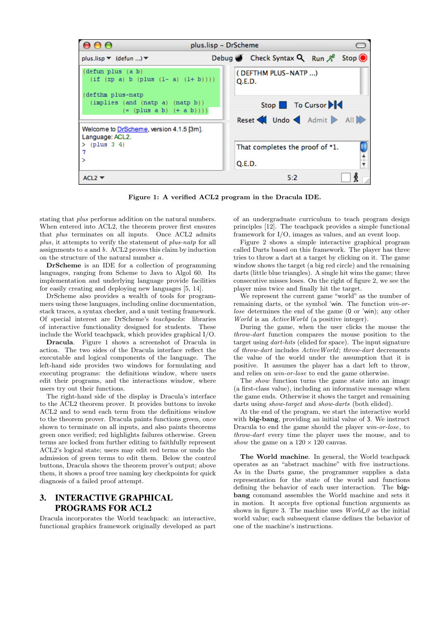

Figure 1: A verified ACL2 program in the Dracula IDE.

stating that plus performs addition on the natural numbers. When entered into ACL2, the theorem prover first ensures that plus terminates on all inputs. Once ACL2 admits plus, it attempts to verify the statement of plus-natp for all assignments to a and b. ACL2 proves this claim by induction on the structure of the natural number a.

DrScheme is an IDE for a collection of programming languages, ranging from Scheme to Java to Algol 60. Its implementation and underlying language provide facilities for easily creating and deploying new languages [5, 14].

DrScheme also provides a wealth of tools for programmers using these languages, including online documentation, stack traces, a syntax checker, and a unit testing framework. Of special interest are DrScheme's teachpacks: libraries of interactive functionality designed for students. These include the World teachpack, which provides graphical I/O.

Dracula. Figure 1 shows a screenshot of Dracula in action. The two sides of the Dracula interface reflect the executable and logical components of the language. The left-hand side provides two windows for formulating and executing programs: the definitions window, where users edit their programs, and the interactions window, where users try out their functions.

The right-hand side of the display is Dracula's interface to the ACL2 theorem prover. It provides buttons to invoke ACL2 and to send each term from the definitions window to the theorem prover. Dracula paints functions green, once shown to terminate on all inputs, and also paints theorems green once verified; red highlights failures otherwise. Green terms are locked from further editing to faithfully represent ACL2's logical state; users may edit red terms or undo the admission of green terms to edit them. Below the control buttons, Dracula shows the theorem prover's output; above them, it shows a proof tree naming key checkpoints for quick diagnosis of a failed proof attempt.

# 3. INTERACTIVE GRAPHICAL PROGRAMS FOR ACL2

Dracula incorporates the World teachpack: an interactive, functional graphics framework originally developed as part of an undergraduate curriculum to teach program design principles [12]. The teachpack provides a simple functional framework for I/O, images as values, and an event loop.

Figure 2 shows a simple interactive graphical program called Darts based on this framework. The player has three tries to throw a dart at a target by clicking on it. The game window shows the target (a big red circle) and the remaining darts (little blue triangles). A single hit wins the game; three consecutive misses loses. On the right of figure 2, we see the player miss twice and finally hit the target.

We represent the current game "world" as the number of remaining darts, or the symbol 'win. The function win-orlose determines the end of the game (0 or 'win); any other World is an ActiveWorld (a positive integer).

During the game, when the user clicks the mouse the throw-dart function compares the mouse position to the target using dart-hits (elided for space). The input signature of throw-dart includes ActiveWorld; throw-dart decrements the value of the world under the assumption that it is positive. It assumes the player has a dart left to throw, and relies on win-or-lose to end the game otherwise.

The show function turns the game state into an image (a first-class value), including an informative message when the game ends. Otherwise it shows the target and remaining darts using *show-target* and *show-darts* (both elided).

At the end of the program, we start the interactive world with **big-bang**, providing an initial value of 3. We instruct Dracula to end the game should the player win-or-lose, to throw-dart every time the player uses the mouse, and to show the game on a  $120 \times 120$  canvas.

The World machine. In general, the World teachpack operates as an "abstract machine" with five instructions. As in the Darts game, the programmer supplies a data representation for the state of the world and functions defining the behavior of each user interaction. The bigbang command assembles the World machine and sets it in motion. It accepts five optional function arguments as shown in figure 3. The machine uses  $World_0$  as the initial world value; each subsequent clause defines the behavior of one of the machine's instructions.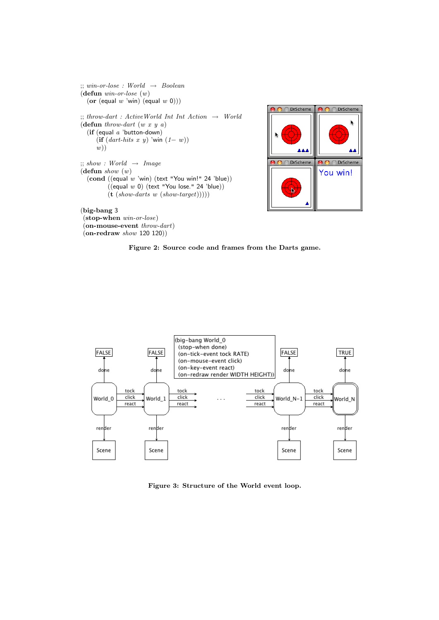```
\therefore win-or-lose : World \rightarrow Boolean
(defun win-or-lose (w)
  (or (equal w 'win) (equal w 0)))
;; throw-dart : ActiveWorld Int Int Action \rightarrow World
(defun throw-dart (w x y a)(if (equal a 'button-down)
     (if (dart-hits \ x \ y) 'win (1-w))
     w);; show: World \rightarrow Image(defun show (w)(cond ((equal <math>w</math>'win) (text "You win!" 24 'blue))((equal w 0) (text "You lose." 24 'blue))(t (show-darts w (show-target))))
```
(big-bang 3

(stop-when win-or-lose) (on-mouse-event throw-dart)  $($ on-redraw show 120 120 $))$ 



Figure 2: Source code and frames from the Darts game.



Figure 3: Structure of the World event loop.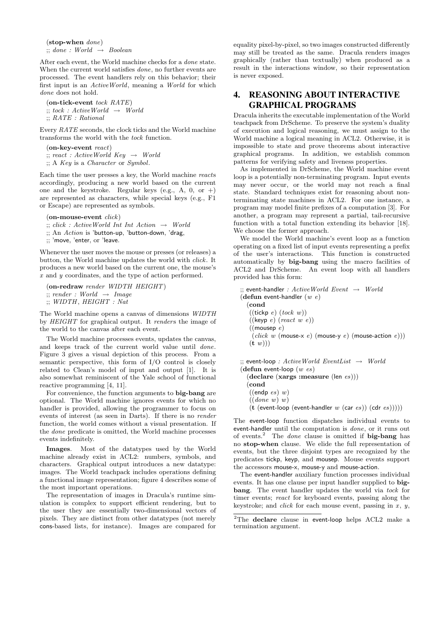(stop-when done)  $\gamma$ ; done : World  $\rightarrow$  Boolean

After each event, the World machine checks for a done state. When the current world satisfies done, no further events are processed. The event handlers rely on this behavior; their first input is an ActiveWorld, meaning a World for which done does not hold.

(on-tick-event tock RATE)  $\ddots$  tock : Active World  $\rightarrow$  World ;; RATE : Rational

Every RATE seconds, the clock ticks and the World machine transforms the world with the tock function.

(on-key-event react)  $; i; react : ActiveWorld Key \rightarrow World$ ;; A Key is a Character or Symbol.

Each time the user presses a key, the World machine reacts accordingly, producing a new world based on the current one and the keystroke. Regular keys (e.g., A, 0, or +) are represented as characters, while special keys (e.g., F1 or Escape) are represented as symbols.

 $($ on-mouse-event  $click)$ 

 $\sigma$ ;; click : ActiveWorld Int Int Action  $\rightarrow$  World

 $\therefore$  An Action is 'button-up, 'button-down, 'drag,

;; 'move, 'enter, or 'leave.

Whenever the user moves the mouse or presses (or releases) a button, the World machine updates the world with click. It produces a new world based on the current one, the mouse's x and y coordinates, and the type of action performed.

(on-redraw render WIDTH HEIGHT)  $\gamma$ ; render : World  $\rightarrow$  Image  $;;$  WIDTH, HEIGHT : Nat

The World machine opens a canvas of dimensions WIDTH by HEIGHT for graphical output. It renders the image of the world to the canvas after each event.

The World machine processes events, updates the canvas, and keeps track of the current world value until done. Figure 3 gives a visual depiction of this process. From a semantic perspective, this form of I/O control is closely related to Clean's model of input and output [1]. It is also somewhat reminiscent of the Yale school of functional reactive programming [4, 11].

For convenience, the function arguments to big-bang are optional. The World machine ignores events for which no handler is provided, allowing the programmer to focus on events of interest (as seen in Darts). If there is no render function, the world comes without a visual presentation. If the done predicate is omitted, the World machine processes events indefinitely.

Images. Most of the datatypes used by the World machine already exist in ACL2: numbers, symbols, and characters. Graphical output introduces a new datatype: images. The World teachpack includes operations defining a functional image representation; figure 4 describes some of the most important operations.

The representation of images in Dracula's runtime simulation is complex to support efficient rendering, but to the user they are essentially two-dimensional vectors of pixels. They are distinct from other datatypes (not merely cons-based lists, for instance). Images are compared for

equality pixel-by-pixel, so two images constructed differently may still be treated as the same. Dracula renders images graphically (rather than textually) when produced as a result in the interactions window, so their representation is never exposed.

# 4. REASONING ABOUT INTERACTIVE GRAPHICAL PROGRAMS

Dracula inherits the executable implementation of the World teachpack from DrScheme. To preserve the system's duality of execution and logical reasoning, we must assign to the World machine a logical meaning in ACL2. Otherwise, it is impossible to state and prove theorems about interactive graphical programs. In addition, we establish common patterns for verifying safety and liveness properties.

As implemented in DrScheme, the World machine event loop is a potentially non-terminating program. Input events may never occur, or the world may not reach a final state. Standard techniques exist for reasoning about nonterminating state machines in ACL2. For one instance, a program may model finite prefixes of a computation [3]. For another, a program may represent a partial, tail-recursive function with a total function extending its behavior [18]. We choose the former approach.

We model the World machine's event loop as a function operating on a fixed list of input events representing a prefix of the user's interactions. This function is constructed automatically by big-bang using the macro facilities of ACL2 and DrScheme. An event loop with all handlers provided has this form:

```
\therefore event-handler : Active World Event \rightarrow World
(defun event-handler (w e)(cond
   ((\text{tickp } e) (lock w))((\text{keyp } e) (\text{react } w \text{ } e))((mousep e)(click w (mouse-x e) (mouse-y e) (mouse-action e)))(\mathbf{t} \ w));; event-loop : ActiveWorld EventList → World
(defun event-loop (w es)
  (declare (xargs :measure (len es)))
  (cond
```
 $((endp e s) w)$ 

 $((done \ w) \ w)$ 

(t (event-loop (event-handler w (car es)) (cdr es)))))

The event-loop function dispatches individual events to event-handler until the computation is done, or it runs out of events.<sup>2</sup> The *done* clause is omitted if **big-bang** has no stop-when clause. We elide the full representation of events, but the three disjoint types are recognized by the predicates tickp, keyp, and mousep. Mouse events support the accessors mouse-x, mouse-y and mouse-action.

The event-handler auxiliary function processes individual events. It has one clause per input handler supplied to bigbang. The event handler updates the world via tock for timer events; react for keyboard events, passing along the keystroke; and *click* for each mouse event, passing in  $x$ ,  $y$ ,

<sup>&</sup>lt;sup>2</sup>The declare clause in event-loop helps ACL2 make a termination argument.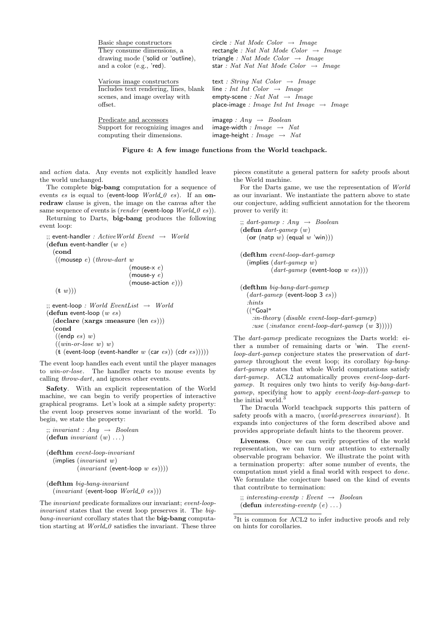| Basic shape constructors              | circle : Nat Mode Color $\rightarrow$ Image           |  |  |
|---------------------------------------|-------------------------------------------------------|--|--|
| They consume dimensions, a            | rectangle : Nat Nat Mode Color $\rightarrow$ Image    |  |  |
| drawing mode ('solid or 'outline),    | triangle : Nat Mode Color $\rightarrow$ Image         |  |  |
| and a color $(e.g., 'red).$           | star: Nat Nat Nat Mode Color $\rightarrow$ Image      |  |  |
| Various image constructors            | text : String Nat Color $\rightarrow$ Image           |  |  |
| Includes text rendering, lines, blank | line : Int Int Color $\rightarrow$ Image              |  |  |
| scenes, and image overlay with        | empty-scene : Nat Nat $\rightarrow$ Image             |  |  |
| offset.                               | place-image : Image Int Int Image $\rightarrow$ Image |  |  |
| Predicate and accessors               | imagep : $Any \rightarrow Boolean$                    |  |  |
| Support for recognizing images and    | image-width : Image $\rightarrow$ Nat                 |  |  |
| computing their dimensions.           | image-height : Image $\rightarrow$ Nat                |  |  |

Figure 4: A few image functions from the World teachpack.

and action data. Any events not explicitly handled leave the world unchanged.

The complete **big-bang** computation for a sequence of events es is equal to (event-loop  $World_0$  es). If an onredraw clause is given, the image on the canvas after the same sequence of events is (*render* (event-loop  $World_0$  es)).

Returning to Darts, big-bang produces the following event loop:

```
\therefore event-handler : Active World Event \rightarrow World
(defun event-handler (w e)(cond
   ((mousep e)(throw-dart w
                             (mouse-x e)(mouse-y e)
                             (mouse-action e))(\mathbf{t} \ w)):: event-loop : World EventList \rightarrow World
(defun event-loop (w es)
  (declare (xargs :measure (len es)))
  (cond
   ((endp e s) w)
```
 $((win-or-lose \ w) \ w)$  $(t$  (event-loop (event-handler w (car es)) (cdr es)))))

The event loop handles each event until the player manages to win-or-lose. The handler reacts to mouse events by calling throw-dart, and ignores other events.

Safety. With an explicit representation of the World machine, we can begin to verify properties of interactive graphical programs. Let's look at a simple safety property: the event loop preserves some invariant of the world. To begin, we state the property:

```
\therefore invariant : Any \rightarrow Boolean
(defun invariant (w)...)
(defthm event-loop-invariant
  (implies (invariant w)
          (invariant (event-loop w es)))(defthm big-bang-invariant
```

```
(invariant (event-loop World_0 es)))
```
The invariant predicate formalizes our invariant; event-loopinvariant states that the event loop preserves it. The bigbang-invariant corollary states that the big-bang computation starting at  $World_0$  satisfies the invariant. These three pieces constitute a general pattern for safety proofs about the World machine.

For the Darts game, we use the representation of World as our invariant. We instantiate the pattern above to state our conjecture, adding sufficient annotation for the theorem prover to verify it:

```
\gamma; dart-gamep : Any \rightarrow Boolean
(defun dart-gamep (w)
  (or (natp w) (equal w 'win)))
```

```
(defthm event-loop-dart-gamep
  (implies (dart-gamep w)
         (dart-gamep (event-loop w es))))
```

```
(defthm big-bang-dart-gamep
  (dart\text{-}gamep (event-loop 3 es))
  :hints
  (("Goal"
    :in-theory (disable event-loop-dart-gamep)
    :use (instance\ event-loop-dart-game\ p(w 3))))
```
The dart-gamep predicate recognizes the Darts world: either a number of remaining darts or 'win. The eventloop-dart-gamep conjecture states the preservation of dartgamep throughout the event loop; its corollary big-bangdart-gamep states that whole World computations satisfy dart-gamep. ACL2 automatically proves event-loop-dartgamep. It requires only two hints to verify big-bang-dartgamep, specifying how to apply event-loop-dart-gamep to the initial world.

The Dracula World teachpack supports this pattern of safety proofs with a macro, (world-preserves invariant). It expands into conjectures of the form described above and provides appropriate default hints to the theorem prover.

Liveness. Once we can verify properties of the world representation, we can turn our attention to externally observable program behavior. We illustrate the point with a termination property: after some number of events, the computation must yield a final world with respect to done. We formulate the conjecture based on the kind of events that contribute to termination:

 $\therefore$  interesting-eventp : Event  $\rightarrow$  Boolean (defun interesting-eventp  $(e) \ldots$ )

<sup>&</sup>lt;sup>3</sup>It is common for ACL2 to infer inductive proofs and rely on hints for corollaries.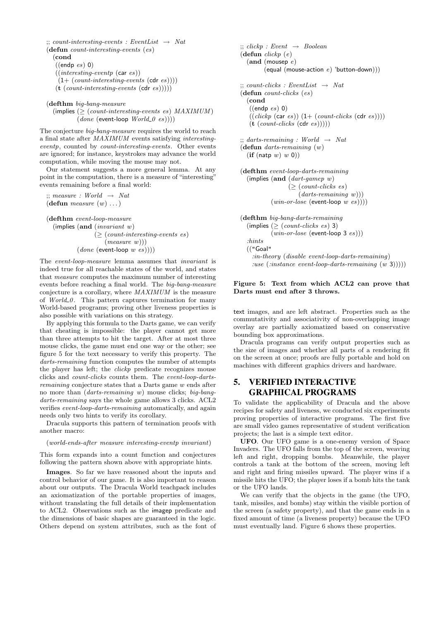```
\ldots count-interesting-events : EventList \rightarrow Nat
(defun count-interesting-events (es)
  (cond
   ((endp e) 0)((interesting\text{-}eventp \text{ (car es}))(1+ (count-interesting-events (cdr es))))(t (count-interesting\text{-}events (cdr es))))
```

```
(defthm big-bang-measure
  (mplies \geq (count-interesting-events \text{ es}) MAXIMUM)
          (done (event-loop World_0 es))))
```
The conjecture big-bang-measure requires the world to reach a final state after MAXIMUM events satisfying interestingeventp, counted by *count-interesting-events*. Other events are ignored; for instance, keystrokes may advance the world computation, while moving the mouse may not.

Our statement suggests a more general lemma. At any point in the computation, there is a measure of "interesting" events remaining before a final world:

 $\gamma$ ; measure : World  $\rightarrow$  Nat (defun *measure*  $(w)$ ...)

(defthm event-loop-measure (implies (and (invariant w)  $($  >  $(count\text{-}intersing\text{-}events\text{ }es)$  $(measure \ w))$ 

 $(done (event-loop w es)))$ 

The event-loop-measure lemma assumes that invariant is indeed true for all reachable states of the world, and states that measure computes the maximum number of interesting events before reaching a final world. The big-bang-measure conjecture is a corollary, where MAXIMUM is the measure of  $World_0$ . This pattern captures termination for many World-based programs; proving other liveness properties is also possible with variations on this strategy.

By applying this formula to the Darts game, we can verify that cheating is impossible: the player cannot get more than three attempts to hit the target. After at most three mouse clicks, the game must end one way or the other; see figure 5 for the text necessary to verify this property. The darts-remaining function computes the number of attempts the player has left; the *clickp* predicate recognizes mouse clicks and count-clicks counts them. The event-loop-dartsremaining conjecture states that a Darts game w ends after no more than (darts-remaining w) mouse clicks; big-bangdarts-remaining says the whole game allows 3 clicks. ACL2 verifies event-loop-darts-remaining automatically, and again needs only two hints to verify its corollary.

Dracula supports this pattern of termination proofs with another macro:

#### (world-ends-after measure interesting-eventp invariant)

This form expands into a count function and conjectures following the pattern shown above with appropriate hints.

Images. So far we have reasoned about the inputs and control behavior of our game. It is also important to reason about our outputs. The Dracula World teachpack includes an axiomatization of the portable properties of images, without translating the full details of their implementation to ACL2. Observations such as the imagep predicate and the dimensions of basic shapes are guaranteed in the logic. Others depend on system attributes, such as the font of

```
\ddots; clickp : Event \rightarrow Boolean
(\text{defun } clickp (e))(and (mousep e)(equal (mouse-action e) 'button-down)))
\therefore count-clicks : EventList \rightarrow Nat
(defun count-clicks (es)
  (cond
   ((endp e) 0)((clickp (car es)) (1+ (count-clicks (cdr es))))(t (count-clicks (cdr es))))\gamma; darts-remaining : World \rightarrow Nat
(defun darts-remaining (w)
  (if (natp w) w 0))(defthm event-loop-darts-remaining
  (implies (and (dart\text{-}gamep w))
                 (\geq (count-clicks es)
                      (darts-remaining w))(win-or-lose (event-loop w \text{ } es))))
(defthm big-bang-darts-remaining
  (implies (\geq (count-clicks es) 3)
           (win-or-lose (event-loop 3 es)))
  :hints
  (("Goal"
```
:in-theory (disable event-loop-darts-remaining) :use  $(instance\ event-loop-darts-remaining\ (w\ 3))))$ 

#### Figure 5: Text from which ACL2 can prove that Darts must end after 3 throws.

text images, and are left abstract. Properties such as the commutativity and associativity of non-overlapping image overlay are partially axiomatized based on conservative bounding box approximations.

Dracula programs can verify output properties such as the size of images and whether all parts of a rendering fit on the screen at once; proofs are fully portable and hold on machines with different graphics drivers and hardware.

# 5. VERIFIED INTERACTIVE GRAPHICAL PROGRAMS

To validate the applicability of Dracula and the above recipes for safety and liveness, we conducted six experiments proving properties of interactive programs. The first five are small video games representative of student verification projects; the last is a simple text editor.

UFO. Our UFO game is a one-enemy version of Space Invaders. The UFO falls from the top of the screen, weaving left and right, dropping bombs. Meanwhile, the player controls a tank at the bottom of the screen, moving left and right and firing missiles upward. The player wins if a missile hits the UFO; the player loses if a bomb hits the tank or the UFO lands.

We can verify that the objects in the game (the UFO, tank, missiles, and bombs) stay within the visible portion of the screen (a safety property), and that the game ends in a fixed amount of time (a liveness property) because the UFO must eventually land. Figure 6 shows these properties.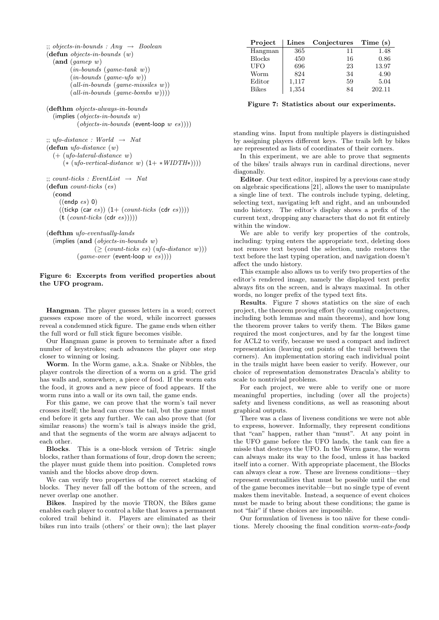```
\therefore; objects-in-bounds : Any \rightarrow Boolean
(\text{defun } objects-in-bounds (w))(and (game w)(in-bounds (game-tank w))(in-bounds (game-ufo w))(all-in-bounds (game-missiles w))
        (all-in-bounds (game-bombs w))))(defthm objects-always-in-bounds
  (implies (objects-in-bounds w)
          (objects-in-bounds (event-loop w es)))\therefore ufo-distance : World \rightarrow Nat
(defun ufo-distance (w)
  (+) (ufo-lateral-distance w)
     (* (ufo-vertical-distance w) (1+*WIDTH*))\ldots count-ticks : EventList \rightarrow Nat
(defun count-ticks (es)
  (cond
    ((endp e s) 0)((\text{tickp (car es)})(1+ (count-ticks (cdr es))))(t (count-ticks (cdr es))))(defthm ufo-eventually-lands
  (implies (and (objects-in-bounds w)
                 (\geq (count-ticks es) (ufo-distance w)))
```
 $(game-over$  (event-loop w es))))

#### Figure 6: Excerpts from verified properties about the UFO program.

Hangman. The player guesses letters in a word; correct guesses expose more of the word, while incorrect guesses reveal a condemned stick figure. The game ends when either the full word or full stick figure becomes visible.

Our Hangman game is proven to terminate after a fixed number of keystrokes; each advances the player one step closer to winning or losing.

Worm. In the Worm game, a.k.a. Snake or Nibbles, the player controls the direction of a worm on a grid. The grid has walls and, somewhere, a piece of food. If the worm eats the food, it grows and a new piece of food appears. If the worm runs into a wall or its own tail, the game ends.

For this game, we can prove that the worm's tail never crosses itself; the head can cross the tail, but the game must end before it gets any further. We can also prove that (for similar reasons) the worm's tail is always inside the grid, and that the segments of the worm are always adjacent to each other.

Blocks. This is a one-block version of Tetris: single blocks, rather than formations of four, drop down the screen; the player must guide them into position. Completed rows vanish and the blocks above drop down.

We can verify two properties of the correct stacking of blocks. They never fall off the bottom of the screen, and never overlap one another.

Bikes. Inspired by the movie TRON, the Bikes game enables each player to control a bike that leaves a permanent colored trail behind it. Players are eliminated as their bikes run into trails (others' or their own); the last player

| Project       |       | Lines Conjectures Time (s) |        |
|---------------|-------|----------------------------|--------|
| Hangman       | 365   | 11                         | 1.48   |
| <b>Blocks</b> | 450   | 16                         | 0.86   |
| UFO           | 696   | 23                         | 13.97  |
| Worm          | 824   | 34                         | 4.90   |
| Editor        | 1,117 | 59                         | 5.04   |
| <b>Bikes</b>  | 1,354 | 84                         | 202.11 |

Figure 7: Statistics about our experiments.

standing wins. Input from multiple players is distinguished by assigning players different keys. The trails left by bikes are represented as lists of coordinates of their corners.

In this experiment, we are able to prove that segments of the bikes' trails always run in cardinal directions, never diagonally.

Editor. Our text editor, inspired by a previous case study on algebraic specifications [21], allows the user to manipulate a single line of text. The controls include typing, deleting, selecting text, navigating left and right, and an unbounded undo history. The editor's display shows a prefix of the current text, dropping any characters that do not fit entirely within the window.

We are able to verify key properties of the controls, including: typing enters the appropriate text, deleting does not remove text beyond the selection, undo restores the text before the last typing operation, and navigation doesn't affect the undo history.

This example also allows us to verify two properties of the editor's rendered image, namely the displayed text prefix always fits on the screen, and is always maximal. In other words, no longer prefix of the typed text fits.

Results. Figure 7 shows statistics on the size of each project, the theorem proving effort (by counting conjectures, including both lemmas and main theorems), and how long the theorem prover takes to verify them. The Bikes game required the most conjectures, and by far the longest time for ACL2 to verify, because we used a compact and indirect representation (leaving out points of the trail between the corners). An implementation storing each individual point in the trails might have been easier to verify. However, our choice of representation demonstrates Dracula's ability to scale to nontrivial problems.

For each project, we were able to verify one or more meaningful properties, including (over all the projects) safety and liveness conditions, as well as reasoning about graphical outputs.

There was a class of liveness conditions we were not able to express, however. Informally, they represent conditions that "can" happen, rather than "must". At any point in the UFO game before the UFO lands, the tank can fire a missle that destroys the UFO. In the Worm game, the worm can always make its way to the food, unless it has backed itself into a corner. With appropriate placement, the Blocks can always clear a row. These are liveness conditions—they represent eventualities that must be possible until the end of the game becomes inevitable—but no single type of event makes them inevitable. Instead, a sequence of event choices must be made to bring about these conditions; the game is not "fair" if these choices are impossible.

Our formulation of liveness is too näive for these conditions. Merely choosing the final condition worm-eats-foodp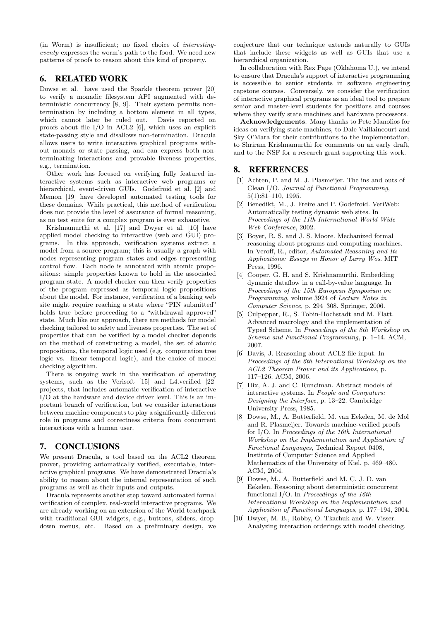(in Worm) is insufficient; no fixed choice of interestingeventp expresses the worm's path to the food. We need new patterns of proofs to reason about this kind of property.

### 6. RELATED WORK

Dowse et al. have used the Sparkle theorem prover [20] to verify a monadic filesystem API augmented with deterministic concurrency [8, 9]. Their system permits nontermination by including a bottom element in all types, which cannot later be ruled out. Davis reported on proofs about file I/O in ACL2 [6], which uses an explicit state-passing style and disallows non-termination. Dracula allows users to write interactive graphical programs without monads or state passing, and can express both nonterminating interactions and provable liveness properties, e.g., termination.

Other work has focused on verifying fully featured interactive systems such as interactive web programs or hierarchical, event-driven GUIs. Godefroid et al. [2] and Memon [19] have developed automated testing tools for these domains. While practical, this method of verification does not provide the level of assurance of formal reasoning, as no test suite for a complex program is ever exhaustive.

Krishnamurthi et al. [17] and Dwyer et al. [10] have applied model checking to interactive (web and GUI) programs. In this approach, verification systems extract a model from a source program; this is usually a graph with nodes representing program states and edges representing control flow. Each node is annotated with atomic propositions: simple properties known to hold in the associated program state. A model checker can then verify properties of the program expressed as temporal logic propositions about the model. For instance, verification of a banking web site might require reaching a state where "PIN submitted" holds true before proceeding to a "withdrawal approved" state. Much like our approach, there are methods for model checking tailored to safety and liveness properties. The set of properties that can be verified by a model checker depends on the method of constructing a model, the set of atomic propositions, the temporal logic used (e.g. computation tree logic vs. linear temporal logic), and the choice of model checking algorithm.

There is ongoing work in the verification of operating systems, such as the Verisoft [15] and L4.verified [22] projects, that includes automatic verification of interactive I/O at the hardware and device driver level. This is an important branch of verification, but we consider interactions between machine components to play a significantly different role in programs and correctness criteria from concurrent interactions with a human user.

## 7. CONCLUSIONS

We present Dracula, a tool based on the ACL2 theorem prover, providing automatically verified, executable, interactive graphical programs. We have demonstrated Dracula's ability to reason about the internal representation of such programs as well as their inputs and outputs.

Dracula represents another step toward automated formal verification of complex, real-world interactive programs. We are already working on an extension of the World teachpack with traditional GUI widgets, e.g., buttons, sliders, dropdown menus, etc. Based on a preliminary design, we

conjecture that our technique extends naturally to GUIs that include these widgets as well as GUIs that use a hierarchical organization.

In collaboration with Rex Page (Oklahoma U.), we intend to ensure that Dracula's support of interactive programming is accessible to senior students in software engineering capstone courses. Conversely, we consider the verification of interactive graphical programs as an ideal tool to prepare senior and master-level students for positions and courses where they verify state machines and hardware processors.

Acknowledgements. Many thanks to Pete Manolios for ideas on verifying state machines, to Dale Vaillaincourt and Sky O'Mara for their contributions to the implementation, to Shriram Krishnamurthi for comments on an early draft, and to the NSF for a research grant supporting this work.

#### 8. REFERENCES

- [1] Achten, P. and M. J. Plasmeijer. The ins and outs of Clean I/O. Journal of Functional Programming, 5(1):81–110, 1995.
- [2] Benedikt, M., J. Freire and P. Godefroid. VeriWeb: Automatically testing dynamic web sites. In Proceedings of the 11th International World Wide Web Conference, 2002.
- [3] Boyer, R. S. and J. S. Moore. Mechanized formal reasoning about programs and computing machines. In Veroff, R., editor, Automated Reasoning and Its Applications: Essays in Honor of Larry Wos. MIT Press, 1996.
- [4] Cooper, G. H. and S. Krishnamurthi. Embedding dynamic dataflow in a call-by-value language. In Proceedings of the 15th European Symposium on Programming, volume 3924 of Lecture Notes in Computer Science, p. 294–308. Springer, 2006.
- [5] Culpepper, R., S. Tobin-Hochstadt and M. Flatt. Advanced macrology and the implementation of Typed Scheme. In Proceedings of the 8th Workshop on Scheme and Functional Programming, p. 1–14. ACM, 2007.
- [6] Davis, J. Reasoning about ACL2 file input. In Proceedings of the 6th International Workshop on the ACL2 Theorem Prover and its Applications, p. 117–126. ACM, 2006.
- [7] Dix, A. J. and C. Runciman. Abstract models of interactive systems. In People and Computers: Designing the Interface, p. 13–22. Cambridge University Press, 1985.
- [8] Dowse, M., A. Butterfield, M. van Eekelen, M. de Mol and R. Plasmeijer. Towards machine-verified proofs for I/O. In Proceedings of the 16th International Workshop on the Implementation and Application of Functional Languages, Technical Report 0408, Institute of Computer Science and Applied Mathematics of the University of Kiel, p. 469–480. ACM, 2004.
- [9] Dowse, M., A. Butterfield and M. C. J. D. van Eekelen. Reasoning about deterministic concurrent functional I/O. In Proceedings of the  $16th$ International Workshop on the Implementation and Application of Functional Languages, p. 177–194, 2004.
- [10] Dwyer, M. B., Robby, O. Tkachuk and W. Visser. Analyzing interaction orderings with model checking.